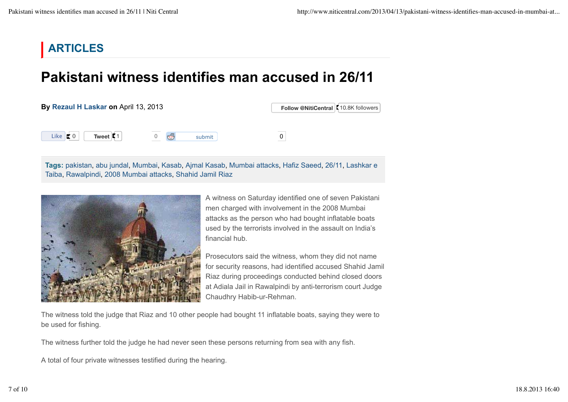## **ARTICLES**

## **Pakistani witness identifies man accused in 26/11**

## **By Rezaul H Laskar on** April 13, 2013

**Follow @NitiCentral C** 10.8K followers

Like  $\vert \cdot \vert$  0

**Tweet** 1 0 **6** submit 0

**Tags:** pakistan, abu jundal, Mumbai, Kasab, Ajmal Kasab, Mumbai attacks, Hafiz Saeed, 26/11, Lashkar e Taiba, Rawalpindi, 2008 Mumbai attacks, Shahid Jamil Riaz



A witness on Saturday identified one of seven Pakistani men charged with involvement in the 2008 Mumbai attacks as the person who had bought inflatable boats used by the terrorists involved in the assault on India's financial hub.

Prosecutors said the witness, whom they did not name for security reasons, had identified accused Shahid Jamil Riaz during proceedings conducted behind closed doors at Adiala Jail in Rawalpindi by anti-terrorism court Judge Chaudhry Habib-ur-Rehman.

The witness told the judge that Riaz and 10 other people had bought 11 inflatable boats, saying they were to be used for fishing.

The witness further told the judge he had never seen these persons returning from sea with any fish.

A total of four private witnesses testified during the hearing.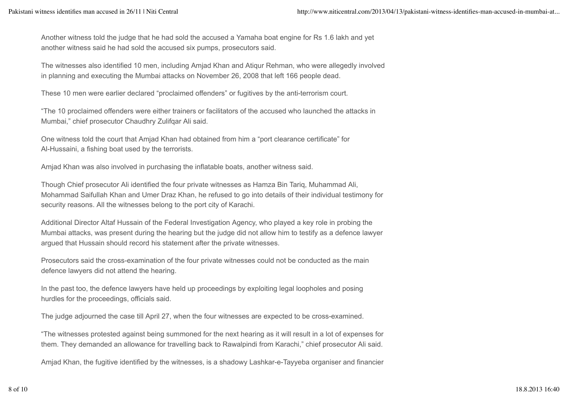Another witness told the judge that he had sold the accused a Yamaha boat engine for Rs 1.6 lakh and yet another witness said he had sold the accused six pumps, prosecutors said.

The witnesses also identified 10 men, including Amjad Khan and Atiqur Rehman, who were allegedly involved in planning and executing the Mumbai attacks on November 26, 2008 that left 166 people dead.

These 10 men were earlier declared "proclaimed offenders" or fugitives by the anti-terrorism court.

"The 10 proclaimed offenders were either trainers or facilitators of the accused who launched the attacks in Mumbai," chief prosecutor Chaudhry Zulifqar Ali said.

One witness told the court that Amjad Khan had obtained from him a "port clearance certificate" for Al-Hussaini, a fishing boat used by the terrorists.

Amjad Khan was also involved in purchasing the inflatable boats, another witness said.

Though Chief prosecutor Ali identified the four private witnesses as Hamza Bin Tariq, Muhammad Ali, Mohammad Saifullah Khan and Umer Draz Khan, he refused to go into details of their individual testimony for security reasons. All the witnesses belong to the port city of Karachi.

Additional Director Altaf Hussain of the Federal Investigation Agency, who played a key role in probing the Mumbai attacks, was present during the hearing but the judge did not allow him to testify as a defence lawyer argued that Hussain should record his statement after the private witnesses.

Prosecutors said the cross-examination of the four private witnesses could not be conducted as the main defence lawyers did not attend the hearing.

In the past too, the defence lawyers have held up proceedings by exploiting legal loopholes and posing hurdles for the proceedings, officials said.

The judge adjourned the case till April 27, when the four witnesses are expected to be cross-examined.

"The witnesses protested against being summoned for the next hearing as it will result in a lot of expenses for them. They demanded an allowance for travelling back to Rawalpindi from Karachi," chief prosecutor Ali said.

Amjad Khan, the fugitive identified by the witnesses, is a shadowy Lashkar-e-Tayyeba organiser and financier